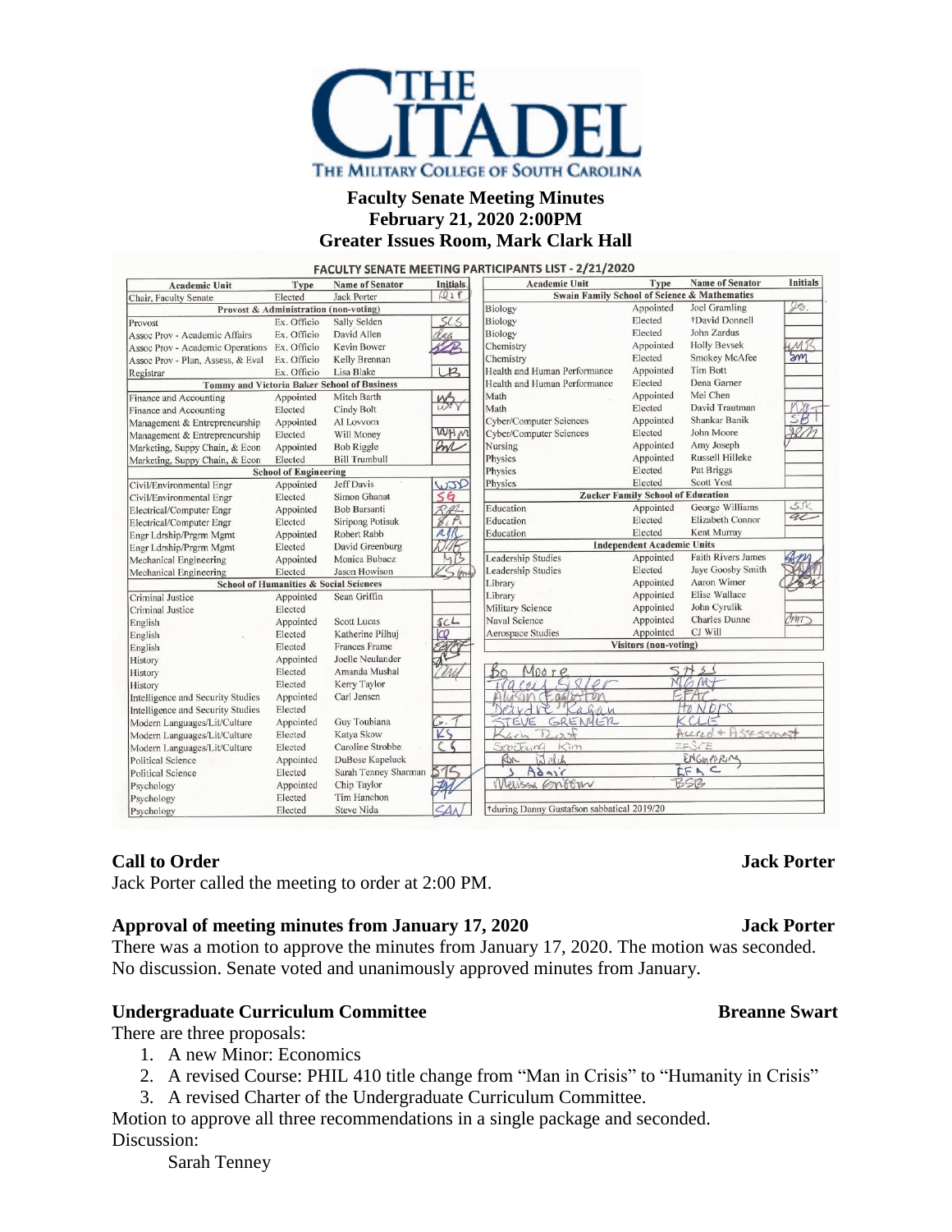

## **Faculty Senate Meeting Minutes February 21, 2020 2:00PM Greater Issues Room, Mark Clark Hall**

| <b>Academic Unit</b>                               | Type                                  | <b>Name of Senator</b>  | <b>Initials</b>       | <b>Academic Unit</b>                                    | Type                              | <b>Name of Senator</b>    | <b>Initials</b>                                         |
|----------------------------------------------------|---------------------------------------|-------------------------|-----------------------|---------------------------------------------------------|-----------------------------------|---------------------------|---------------------------------------------------------|
| Chair, Faculty Senate                              | Elected                               | <b>Jack Porter</b>      | $Q_1$                 | <b>Swain Family School of Science &amp; Mathematics</b> |                                   |                           |                                                         |
|                                                    | Provost & Administration (non-voting) |                         |                       | Biology                                                 | Appointed                         | Joel Gramling             | $\mathscr{Y}\!\!\mathscr{\scriptscriptstyle\partial}$ . |
| Provost                                            | Ex. Officio                           | Sally Selden            |                       | Biology                                                 | Elected                           | +David Donnell            |                                                         |
| Assoc Prov - Academic Affairs                      | Ex. Officio                           | David Allen             |                       | Biology                                                 | Elected                           | John Zardus               |                                                         |
| Assoc Prov - Academic Operations Ex. Officio       |                                       | Kevin Bower             |                       | Chemistry                                               | Appointed                         | <b>Holly Beysek</b>       | M <sub>1</sub>                                          |
| Assoc Prov - Plan, Assess, & Eval                  | Ex. Officio                           | Kelly Brennan           |                       | Chemistry                                               | Elected                           | <b>Smokey McAfee</b>      | Sm                                                      |
| Registrar                                          | Ex. Officio                           | Lisa Blake              | R                     | Health and Human Performance                            | Appointed                         | <b>Tim Bott</b>           |                                                         |
| <b>Tommy and Victoria Baker School of Business</b> |                                       |                         |                       | Health and Human Performance                            | Elected                           | Dena Garner               |                                                         |
| Finance and Accounting                             | Appointed                             | Mitch Barth             | <b>MS</b>             | Math                                                    | Appointed                         | Mei Chen                  |                                                         |
| Finance and Accounting                             | Elected                               | Cindy Bolt              |                       | Math                                                    | Elected                           | David Trautman            |                                                         |
| Management & Entrepreneurship                      | Appointed                             | Al Lovvorn              |                       | <b>Cyber/Computer Sciences</b>                          | Appointed                         | Shankar Banik             | SB                                                      |
| Management & Entrepreneurship                      | Elected                               | Will Money              | WHM                   | <b>Cyber/Computer Sciences</b>                          | Elected                           | John Moore                |                                                         |
| Marketing, Suppy Chain, & Econ                     | Appointed                             | <b>Bob Riggle</b>       | AN                    | Nursing                                                 | Appointed                         | Amy Joseph                |                                                         |
| Marketing, Suppy Chain, & Econ                     | Elected                               | <b>Bill Trumbull</b>    |                       | Physics                                                 | Appointed                         | Russell Hilleke           |                                                         |
|                                                    | <b>School of Engineering</b>          |                         |                       | Physics                                                 | Elected                           | Pat Briggs                |                                                         |
| Civil/Environmental Engr                           | Appointed                             | <b>Jeff Davis</b>       | WJID                  | Physics                                                 | Elected                           | <b>Scott Yost</b>         |                                                         |
| Civil/Environmental Engr                           | Elected                               | Simon Ghanat            | 56                    | <b>Zucker Family School of Education</b>                |                                   |                           |                                                         |
| Electrical/Computer Engr                           | Appointed                             | <b>Bob Barsanti</b>     | RAL                   | Education                                               | Appointed                         | George Williams           | SK                                                      |
| Electrical/Computer Engr                           | Elected                               | <b>Siripong Potisuk</b> | 8, P                  | Education                                               | Elected                           | Elizabeth Connor          | al                                                      |
| Engr Ldrship/Prgrm Mgmt                            | Appointed                             | Robert Rabb             | RIK                   | Education                                               | Elected                           | Kent Murray               |                                                         |
| Engr Ldrship/Prgrm Mgmt                            | Elected                               | David Greenburg         |                       |                                                         | <b>Independent Academic Units</b> |                           |                                                         |
| Mechanical Engineering                             | Appointed                             | Monica Bubacz           | 4B                    | <b>Leadership Studies</b>                               | Appointed                         | <b>Faith Rivers James</b> |                                                         |
| Mechanical Engineering                             | Elected                               | <b>Jason Howison</b>    | S (Produ)             | Leadership Studies                                      | Elected                           | Jaye Goosby Smith         |                                                         |
| <b>School of Humanities &amp; Social Sciences</b>  |                                       |                         |                       | Library                                                 | Appointed                         | Aaron Wimer               |                                                         |
| Criminal Justice                                   | Appointed                             | Sean Griffin            |                       | Library                                                 | Appointed                         | Elise Wallace             |                                                         |
| Criminal Justice                                   | Elected                               |                         |                       | <b>Military Science</b>                                 | Appointed                         | John Cyrulik              |                                                         |
| English                                            | Appointed                             | <b>Scott Lucas</b>      | SCL                   | Naval Science                                           | Appointed                         | <b>Charles</b> Dunne      | CMI                                                     |
| English                                            | Elected                               | Katherine Pilhuj        | ΙCΟ                   | Aerospace Studies                                       | Appointed                         | CJ Will                   |                                                         |
| English                                            | Elected                               | <b>Frances Frame</b>    |                       | <b>Visitors</b> (non-voting)                            |                                   |                           |                                                         |
| History                                            | Appointed                             | Joelle Neulander        |                       |                                                         |                                   |                           |                                                         |
| History                                            | Elected                               | Amanda Mushal           |                       | Moore<br>60                                             |                                   | $\overline{2}$<br>5H      |                                                         |
| History                                            | Elected                               | Kerry Taylor            |                       | G2100<br>$\overline{c}$                                 |                                   | MGMT                      |                                                         |
| Intelligence and Security Studies                  | Appointed                             | Carl Jensen             |                       | Son Cegalry Fon                                         |                                   |                           |                                                         |
| Intelligence and Security Studies                  | Elected                               |                         |                       | VE Ragan                                                |                                   | HONDES                    |                                                         |
| Modern Languages/Lit/Culture                       | Appointed                             | Guy Toubiana            |                       | GRENHER<br>STEVE                                        |                                   | KClF                      |                                                         |
| Modern Languages/Lit/Culture                       | Elected                               | Katya Skow              | KS                    | $\overline{z}$                                          |                                   | Accred + Assessment       |                                                         |
| Modern Languages/Lit/Culture                       | Elected                               | Caroline Strobbe        | $\epsilon$ $\epsilon$ | Kim<br>Scothing                                         |                                   | 2FSTE                     |                                                         |
| <b>Political Science</b>                           | Appointed                             | DuBose Kapeluck         |                       | Ron<br>al el ch                                         |                                   | ENGINERING                |                                                         |
| <b>Political Science</b>                           | Elected                               | Sarah Tenney Sharman    | 576                   | Adair                                                   |                                   | IFAC                      |                                                         |
| Psychology                                         | Appointed                             | Chip Taylor             | ゴハ                    | Werissa Onocur                                          |                                   | BSB                       |                                                         |
| Psychology                                         | Elected                               | Tim Hanchon             |                       |                                                         |                                   |                           |                                                         |
| Psychology                                         | Elected                               | Steve Nida              |                       | +during Danny Gustafson sabbatical 2019/20              |                                   |                           |                                                         |

### **Call to Order Jack Porter**

Jack Porter called the meeting to order at 2:00 PM.

### **Approval of meeting minutes from January 17, 2020 Jack Porter**

There was a motion to approve the minutes from January 17, 2020. The motion was seconded. No discussion. Senate voted and unanimously approved minutes from January.

# **Undergraduate Curriculum Committee Breanne** Breanne Swart

There are three proposals:

- 1. A new Minor: Economics
- 2. A revised Course: PHIL 410 title change from "Man in Crisis" to "Humanity in Crisis"
- 3. A revised Charter of the Undergraduate Curriculum Committee.

Motion to approve all three recommendations in a single package and seconded. Discussion:

Sarah Tenney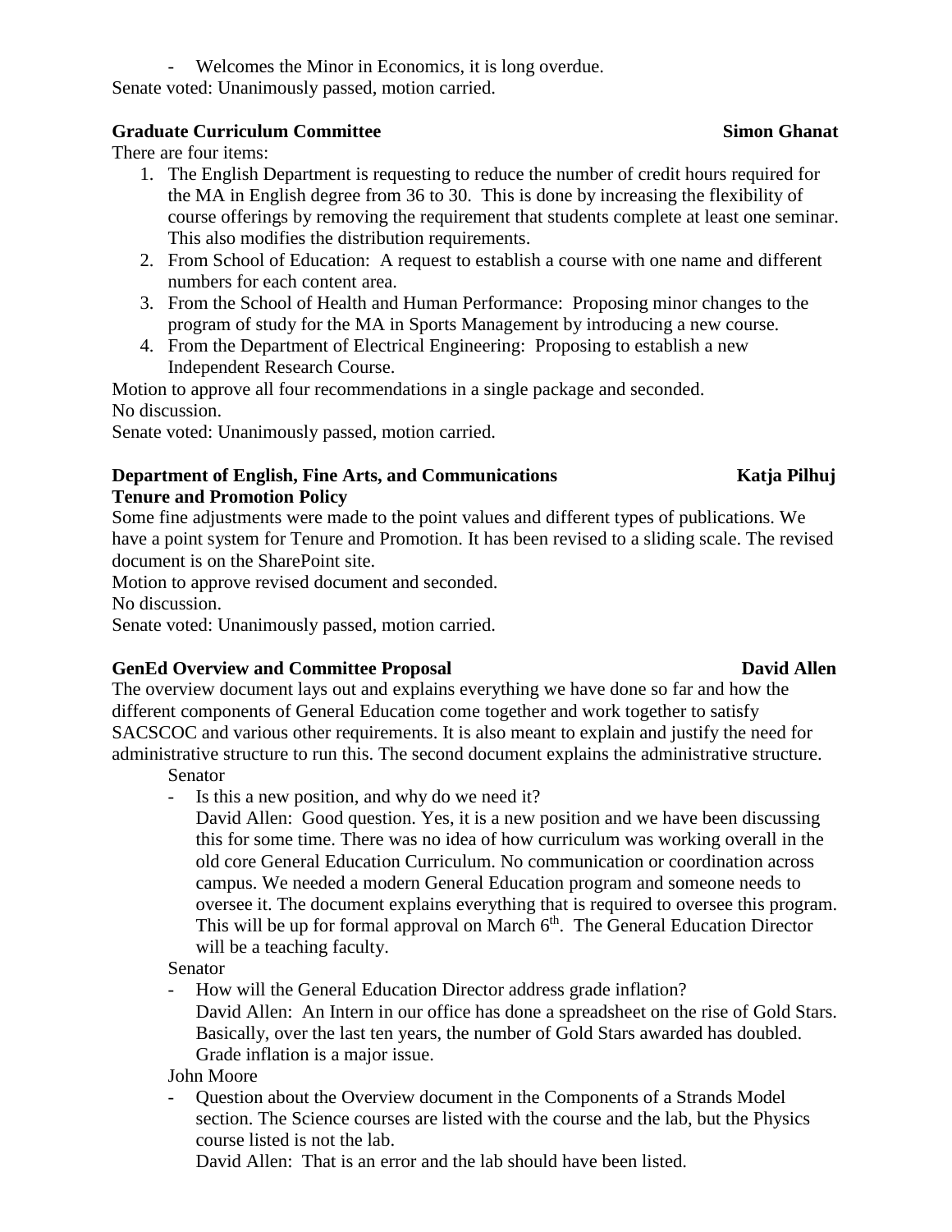- Welcomes the Minor in Economics, it is long overdue.

Senate voted: Unanimously passed, motion carried.

# **Graduate Curriculum Committee Simon Ghanat**

There are four items:

- 1. The English Department is requesting to reduce the number of credit hours required for the MA in English degree from 36 to 30. This is done by increasing the flexibility of course offerings by removing the requirement that students complete at least one seminar. This also modifies the distribution requirements.
- 2. From School of Education: A request to establish a course with one name and different numbers for each content area.
- 3. From the School of Health and Human Performance: Proposing minor changes to the program of study for the MA in Sports Management by introducing a new course.
- 4. From the Department of Electrical Engineering: Proposing to establish a new Independent Research Course.

Motion to approve all four recommendations in a single package and seconded. No discussion.

Senate voted: Unanimously passed, motion carried.

### **Department of English, Fine Arts, and Communications Katja Pilhuj Tenure and Promotion Policy**

Some fine adjustments were made to the point values and different types of publications. We have a point system for Tenure and Promotion. It has been revised to a sliding scale. The revised document is on the SharePoint site.

Motion to approve revised document and seconded.

No discussion.

Senate voted: Unanimously passed, motion carried.

# **GenEd Overview and Committee Proposal David Allen**

The overview document lays out and explains everything we have done so far and how the different components of General Education come together and work together to satisfy SACSCOC and various other requirements. It is also meant to explain and justify the need for administrative structure to run this. The second document explains the administrative structure.

Senator

- Is this a new position, and why do we need it?
	- David Allen: Good question. Yes, it is a new position and we have been discussing this for some time. There was no idea of how curriculum was working overall in the old core General Education Curriculum. No communication or coordination across campus. We needed a modern General Education program and someone needs to oversee it. The document explains everything that is required to oversee this program. This will be up for formal approval on March 6<sup>th</sup>. The General Education Director will be a teaching faculty.

Senator

- How will the General Education Director address grade inflation? David Allen: An Intern in our office has done a spreadsheet on the rise of Gold Stars. Basically, over the last ten years, the number of Gold Stars awarded has doubled. Grade inflation is a major issue.

John Moore

Question about the Overview document in the Components of a Strands Model section. The Science courses are listed with the course and the lab, but the Physics course listed is not the lab.

David Allen: That is an error and the lab should have been listed.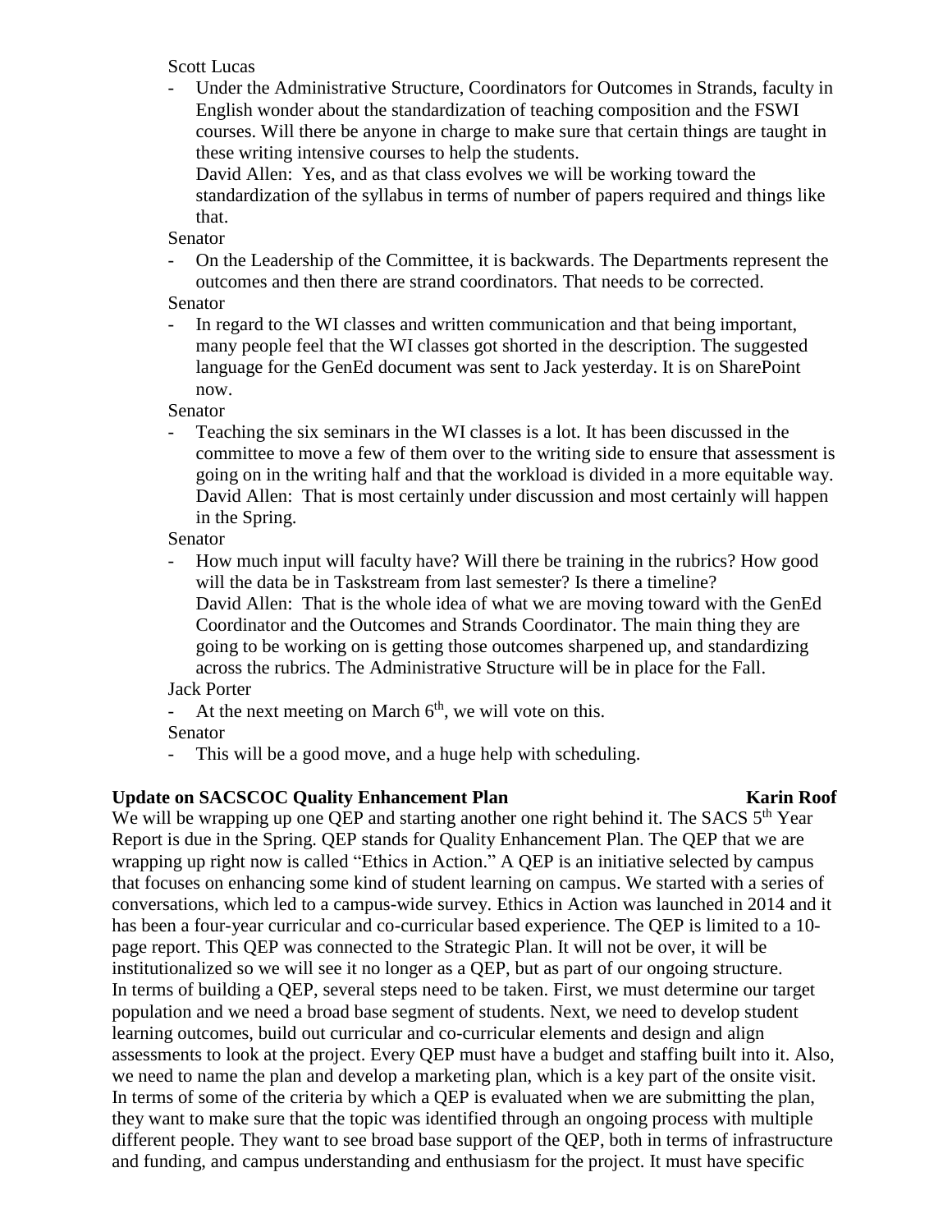Scott Lucas

- Under the Administrative Structure, Coordinators for Outcomes in Strands, faculty in English wonder about the standardization of teaching composition and the FSWI courses. Will there be anyone in charge to make sure that certain things are taught in these writing intensive courses to help the students.

David Allen: Yes, and as that class evolves we will be working toward the standardization of the syllabus in terms of number of papers required and things like that.

Senator

- On the Leadership of the Committee, it is backwards. The Departments represent the outcomes and then there are strand coordinators. That needs to be corrected.

Senator

- In regard to the WI classes and written communication and that being important, many people feel that the WI classes got shorted in the description. The suggested language for the GenEd document was sent to Jack yesterday. It is on SharePoint now.

Senator

- Teaching the six seminars in the WI classes is a lot. It has been discussed in the committee to move a few of them over to the writing side to ensure that assessment is going on in the writing half and that the workload is divided in a more equitable way. David Allen: That is most certainly under discussion and most certainly will happen in the Spring.

Senator

- How much input will faculty have? Will there be training in the rubrics? How good will the data be in Taskstream from last semester? Is there a timeline? David Allen: That is the whole idea of what we are moving toward with the GenEd Coordinator and the Outcomes and Strands Coordinator. The main thing they are going to be working on is getting those outcomes sharpened up, and standardizing across the rubrics. The Administrative Structure will be in place for the Fall. Jack Porter

- At the next meeting on March  $6<sup>th</sup>$ , we will vote on this.

- Senator
- This will be a good move, and a huge help with scheduling.

# **Update on SACSCOC Quality Enhancement Plan Karin Roof**

We will be wrapping up one QEP and starting another one right behind it. The SACS 5<sup>th</sup> Year Report is due in the Spring. QEP stands for Quality Enhancement Plan. The QEP that we are wrapping up right now is called "Ethics in Action." A QEP is an initiative selected by campus that focuses on enhancing some kind of student learning on campus. We started with a series of conversations, which led to a campus-wide survey. Ethics in Action was launched in 2014 and it has been a four-year curricular and co-curricular based experience. The QEP is limited to a 10 page report. This QEP was connected to the Strategic Plan. It will not be over, it will be institutionalized so we will see it no longer as a QEP, but as part of our ongoing structure. In terms of building a QEP, several steps need to be taken. First, we must determine our target population and we need a broad base segment of students. Next, we need to develop student learning outcomes, build out curricular and co-curricular elements and design and align assessments to look at the project. Every QEP must have a budget and staffing built into it. Also, we need to name the plan and develop a marketing plan, which is a key part of the onsite visit. In terms of some of the criteria by which a QEP is evaluated when we are submitting the plan, they want to make sure that the topic was identified through an ongoing process with multiple different people. They want to see broad base support of the QEP, both in terms of infrastructure and funding, and campus understanding and enthusiasm for the project. It must have specific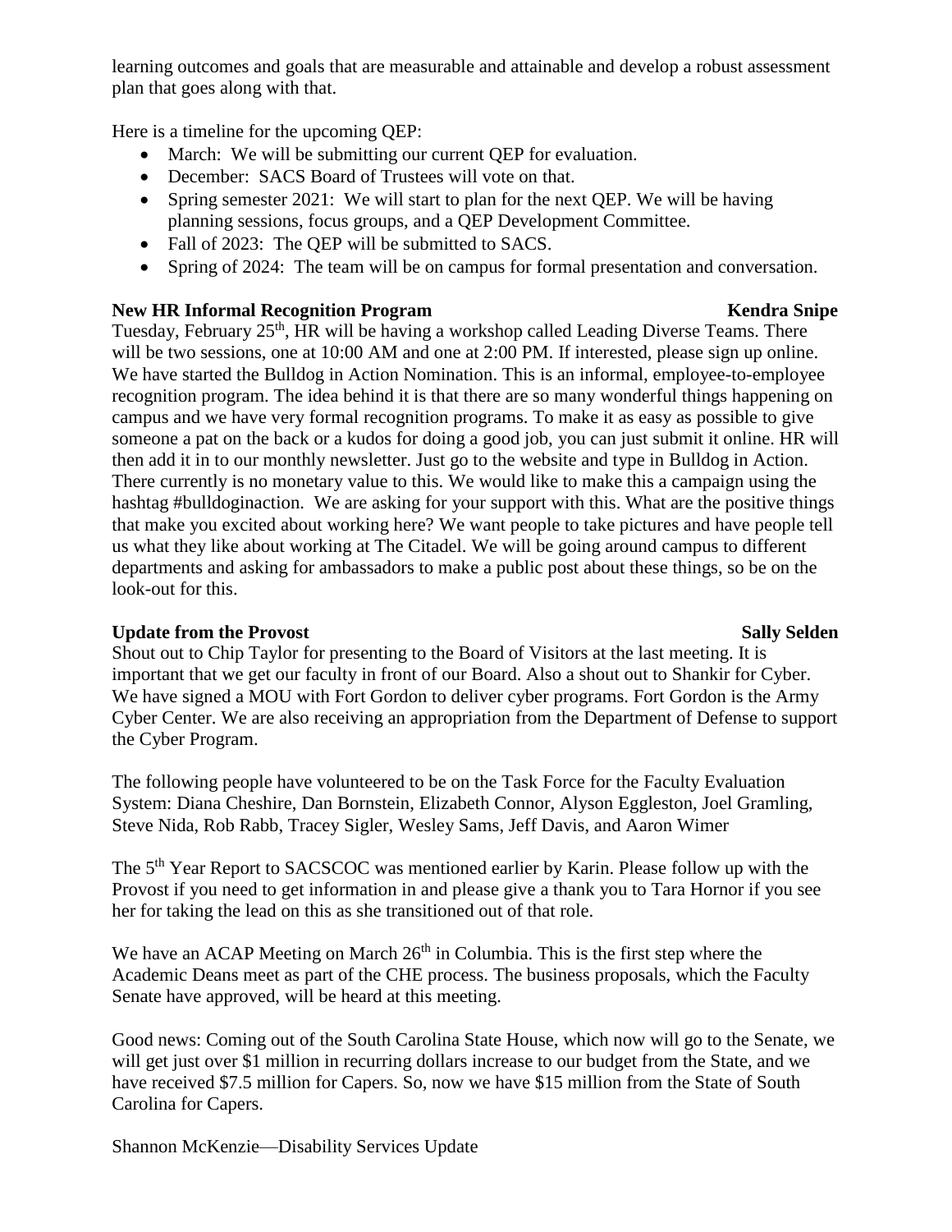learning outcomes and goals that are measurable and attainable and develop a robust assessment plan that goes along with that.

Here is a timeline for the upcoming QEP:

- March: We will be submitting our current QEP for evaluation.
- December: SACS Board of Trustees will vote on that.
- Spring semester 2021: We will start to plan for the next QEP. We will be having planning sessions, focus groups, and a QEP Development Committee.
- Fall of 2023: The OEP will be submitted to SACS.
- Spring of 2024: The team will be on campus for formal presentation and conversation.

### **New HR Informal Recognition Program Kendra Snipe**

Tuesday, February 25<sup>th</sup>, HR will be having a workshop called Leading Diverse Teams. There will be two sessions, one at 10:00 AM and one at 2:00 PM. If interested, please sign up online. We have started the Bulldog in Action Nomination. This is an informal, employee-to-employee recognition program. The idea behind it is that there are so many wonderful things happening on campus and we have very formal recognition programs. To make it as easy as possible to give someone a pat on the back or a kudos for doing a good job, you can just submit it online. HR will then add it in to our monthly newsletter. Just go to the website and type in Bulldog in Action. There currently is no monetary value to this. We would like to make this a campaign using the hashtag #bulldoginaction. We are asking for your support with this. What are the positive things that make you excited about working here? We want people to take pictures and have people tell us what they like about working at The Citadel. We will be going around campus to different departments and asking for ambassadors to make a public post about these things, so be on the look-out for this.

### **Update from** the Provost Sally Selden Sally Selden

Shout out to Chip Taylor for presenting to the Board of Visitors at the last meeting. It is important that we get our faculty in front of our Board. Also a shout out to Shankir for Cyber. We have signed a MOU with Fort Gordon to deliver cyber programs. Fort Gordon is the Army Cyber Center. We are also receiving an appropriation from the Department of Defense to support the Cyber Program.

The following people have volunteered to be on the Task Force for the Faculty Evaluation System: Diana Cheshire, Dan Bornstein, Elizabeth Connor, Alyson Eggleston, Joel Gramling, Steve Nida, Rob Rabb, Tracey Sigler, Wesley Sams, Jeff Davis, and Aaron Wimer

The 5<sup>th</sup> Year Report to SACSCOC was mentioned earlier by Karin. Please follow up with the Provost if you need to get information in and please give a thank you to Tara Hornor if you see her for taking the lead on this as she transitioned out of that role.

We have an ACAP Meeting on March  $26<sup>th</sup>$  in Columbia. This is the first step where the Academic Deans meet as part of the CHE process. The business proposals, which the Faculty Senate have approved, will be heard at this meeting.

Good news: Coming out of the South Carolina State House, which now will go to the Senate, we will get just over \$1 million in recurring dollars increase to our budget from the State, and we have received \$7.5 million for Capers. So, now we have \$15 million from the State of South Carolina for Capers.

Shannon McKenzie—Disability Services Update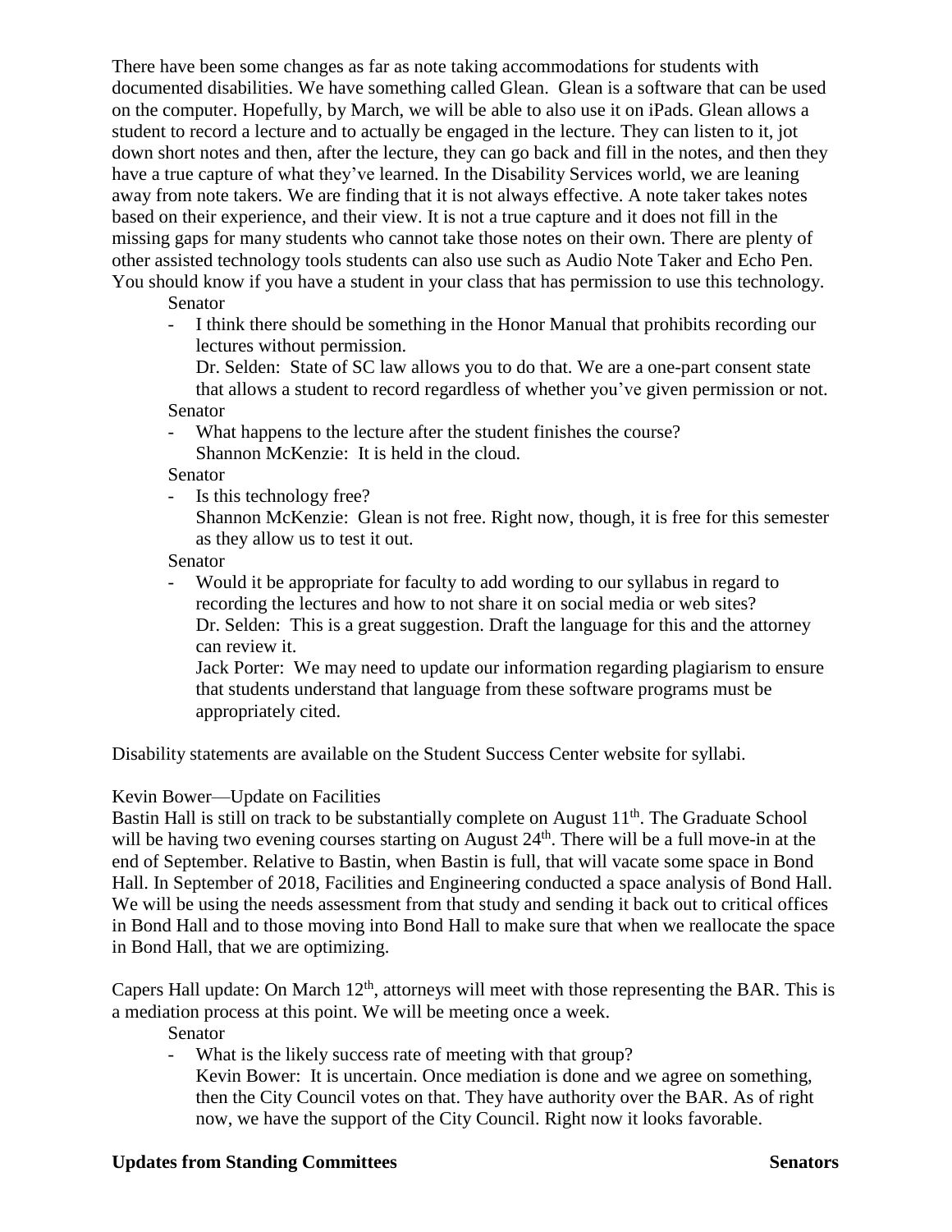There have been some changes as far as note taking accommodations for students with documented disabilities. We have something called Glean. Glean is a software that can be used on the computer. Hopefully, by March, we will be able to also use it on iPads. Glean allows a student to record a lecture and to actually be engaged in the lecture. They can listen to it, jot down short notes and then, after the lecture, they can go back and fill in the notes, and then they have a true capture of what they've learned. In the Disability Services world, we are leaning away from note takers. We are finding that it is not always effective. A note taker takes notes based on their experience, and their view. It is not a true capture and it does not fill in the missing gaps for many students who cannot take those notes on their own. There are plenty of other assisted technology tools students can also use such as Audio Note Taker and Echo Pen. You should know if you have a student in your class that has permission to use this technology.

**Senator** 

- I think there should be something in the Honor Manual that prohibits recording our lectures without permission.

Dr. Selden: State of SC law allows you to do that. We are a one-part consent state that allows a student to record regardless of whether you've given permission or not. Senator

- What happens to the lecture after the student finishes the course? Shannon McKenzie: It is held in the cloud.

Senator

- Is this technology free?

Shannon McKenzie: Glean is not free. Right now, though, it is free for this semester as they allow us to test it out.

Senator

- Would it be appropriate for faculty to add wording to our syllabus in regard to recording the lectures and how to not share it on social media or web sites? Dr. Selden: This is a great suggestion. Draft the language for this and the attorney can review it.

Jack Porter: We may need to update our information regarding plagiarism to ensure that students understand that language from these software programs must be appropriately cited.

Disability statements are available on the Student Success Center website for syllabi.

# Kevin Bower—Update on Facilities

Bastin Hall is still on track to be substantially complete on August 11<sup>th</sup>. The Graduate School will be having two evening courses starting on August 24<sup>th</sup>. There will be a full move-in at the end of September. Relative to Bastin, when Bastin is full, that will vacate some space in Bond Hall. In September of 2018, Facilities and Engineering conducted a space analysis of Bond Hall. We will be using the needs assessment from that study and sending it back out to critical offices in Bond Hall and to those moving into Bond Hall to make sure that when we reallocate the space in Bond Hall, that we are optimizing.

Capers Hall update: On March  $12<sup>th</sup>$ , attorneys will meet with those representing the BAR. This is a mediation process at this point. We will be meeting once a week.

Senator

- What is the likely success rate of meeting with that group? Kevin Bower: It is uncertain. Once mediation is done and we agree on something, then the City Council votes on that. They have authority over the BAR. As of right now, we have the support of the City Council. Right now it looks favorable.

### **Updates from Standing Committees Senators** Senators